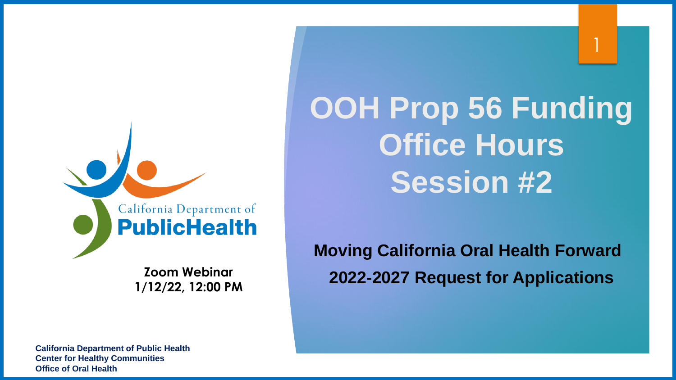California Department of **PublicHealth** 

> **Zoom Webinar 1/12/22, 12:00 PM**

**OOH Prop 56 Funding Office Hours Session #2**

1

**Moving California Oral Health Forward 2022-2027 Request for Applications** 

**Office of Oral Health California Department of Public Health Center for Healthy Communities Office of Oral Health**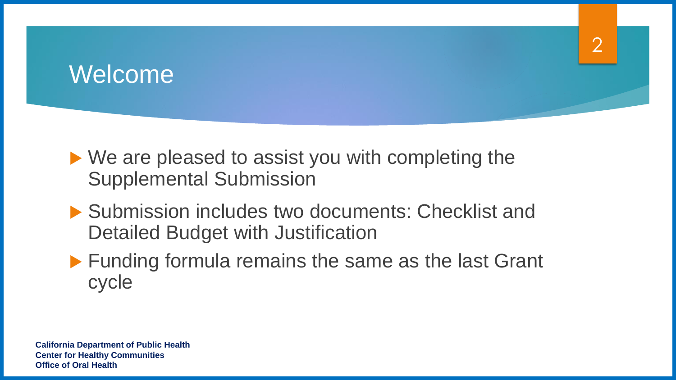### Welcome

▶ We are pleased to assist you with completing the Supplemental Submission

- ▶ Submission includes two documents: Checklist and Detailed Budget with Justification
- ▶ Funding formula remains the same as the last Grant cycle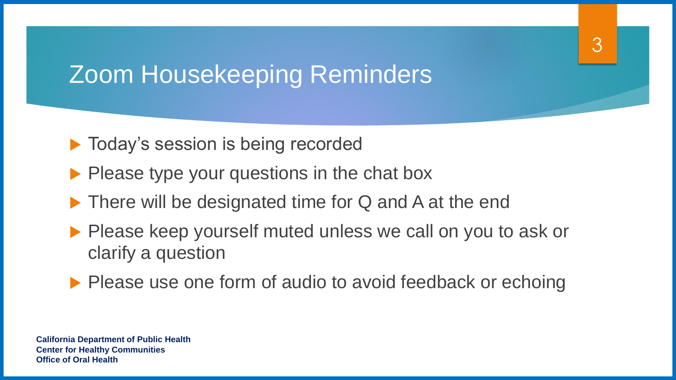# Zoom Housekeeping Reminders

- **Today's session is being recorded**
- $\blacktriangleright$  Please type your questions in the chat box
- ▶ There will be designated time for Q and A at the end
- **Please keep yourself muted unless we call on you to ask or** clarify a question

3

▶ Please use one form of audio to avoid feedback or echoing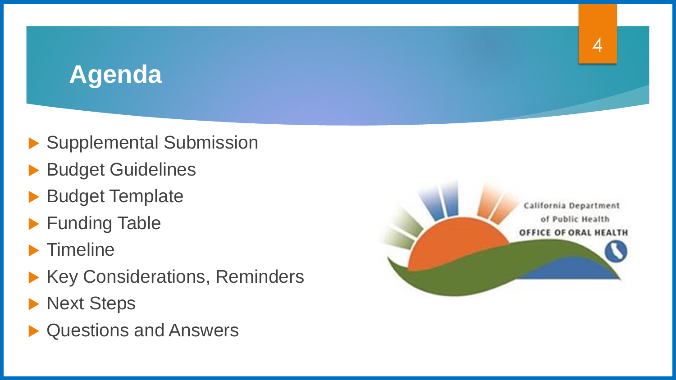# **Agenda**

- Supplemental Submission
- **Budget Guidelines**
- **Budget Template**
- ▶ Funding Table
- $\blacktriangleright$  Timeline
- ▶ Key Considerations, Reminders
- **Next Steps**
- ▶ Questions and Answers



4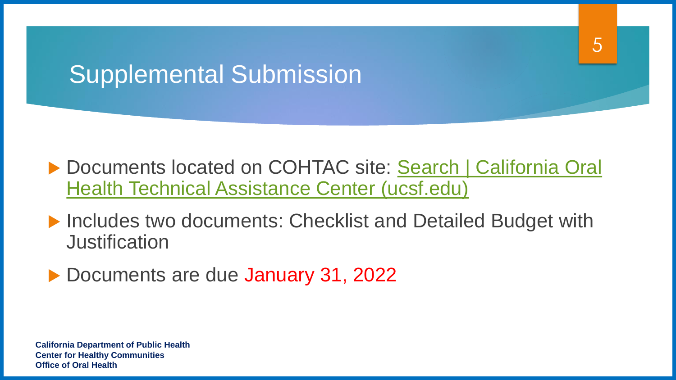# Supplemental Submission

▶ Documents located on COHTAC site: Search | California Oral Health Technical Assistance Center (ucsf.edu)

5

▶ Includes two documents: Checklist and Detailed Budget with **Justification** 

Documents are due January 31, 2022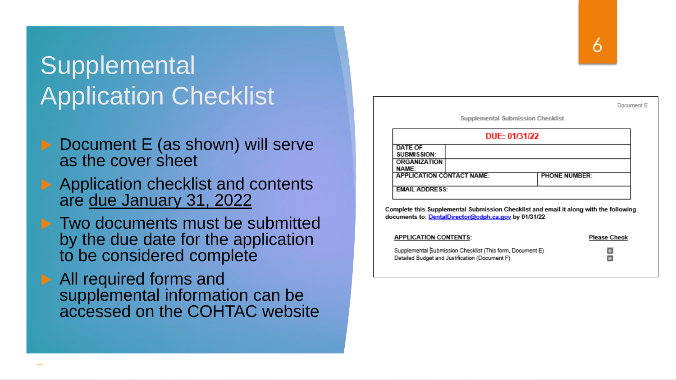# **Supplemental** Application Checklist

- ▶ Document E (as shown) will serve as the cover sheet
- Application checklist and contents are due January 31, 2022
- **Two documents must be submitted** by the due date for the application to be considered complete
- ▶ All required forms and supplemental information can be accessed on the COHTAC website

|                                      | Supplemental Submission Checklist |                      |  |
|--------------------------------------|-----------------------------------|----------------------|--|
|                                      | DUE: 01/31/22                     |                      |  |
| <b>DATE OF</b><br><b>SUBMISSION:</b> |                                   |                      |  |
| <b>ORGANIZATION</b><br><b>NAME:</b>  |                                   |                      |  |
| <b>APPLICATION CONTACT NAME:</b>     |                                   | <b>PHONE NUMBER:</b> |  |
| <b>EMAIL ADDRESS:</b>                |                                   |                      |  |

Complete this Supplemental Submission Checklist and email it along with the following documents to: DentalDirector@cdph.ca.gov by 01/31/22

| <b>APPLICATION CONTENTS:</b>                                                                                | <b>Please Check</b> |
|-------------------------------------------------------------------------------------------------------------|---------------------|
| Supplemental Bubmission Checklist (This form, Document E)<br>Detailed Budget and Justification (Document F) | π                   |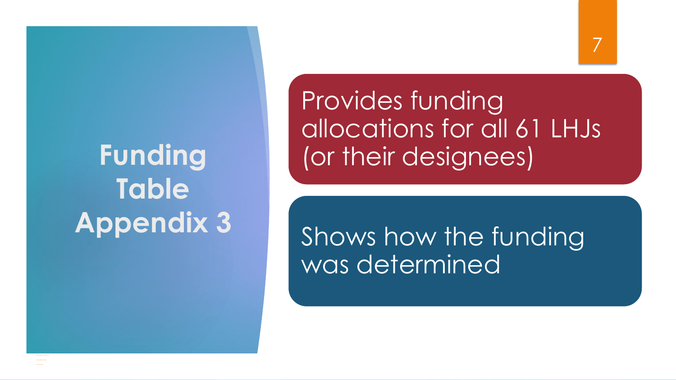# **Funding Table Appendix 3**

Provides funding allocations for all 61 LHJs (or their designees)

Shows how the funding was determined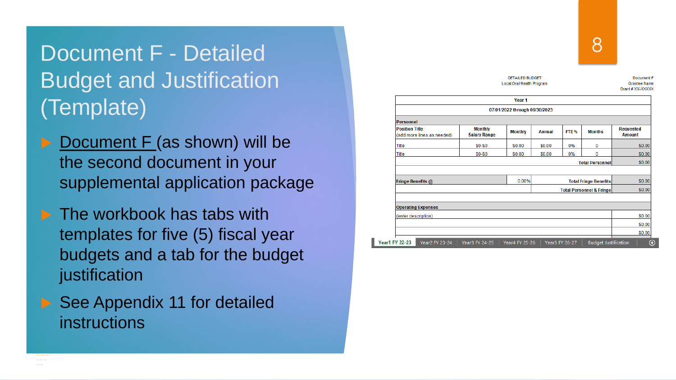### Document F - Detailed Budget and Justification (Template)

- Document F (as shown) will be the second document in your supplemental application package
- $\blacktriangleright$  The workbook has tabs with templates for five (5) fiscal year budgets and a tab for the budget justification
- ▶ See Appendix 11 for detailed instructions

| <b>DETAILED BUDGET</b><br>Local Oral Health Program |                                       |                               |               |                              |                                     | Document F<br><b>Grantee Name</b><br>Grant # XX-XXXXX |  |
|-----------------------------------------------------|---------------------------------------|-------------------------------|---------------|------------------------------|-------------------------------------|-------------------------------------------------------|--|
|                                                     |                                       | Year 1                        |               |                              |                                     |                                                       |  |
|                                                     |                                       | 07/01/2022 through 06/30/2023 |               |                              |                                     |                                                       |  |
| Personnel                                           |                                       |                               |               |                              |                                     |                                                       |  |
| <b>Position Title</b><br>(add more lines as needed) | <b>Monthly</b><br><b>Salary Range</b> | <b>Monthly</b>                | <b>Annual</b> | FTE %                        | <b>Months</b>                       | <b>Requested</b><br><b>Amount</b>                     |  |
| <b>Title</b>                                        | \$0-\$0                               | \$0.00                        | \$0.00        | 0%                           | 0                                   | \$0.00                                                |  |
| Title                                               | \$0-\$0                               | \$0.00                        | \$0.00        | 0%                           | 0                                   | \$0.00                                                |  |
|                                                     |                                       |                               |               |                              | <b>Total Personnel</b>              | \$0.00                                                |  |
| Fringe Benefits @                                   | 0.00%                                 |                               |               | <b>Total Fringe Benefits</b> | \$0.00                              |                                                       |  |
|                                                     |                                       |                               |               |                              | <b>Total Personnel &amp; Fringe</b> | \$0.00                                                |  |
| <b>Operating Expenses</b>                           |                                       |                               |               |                              |                                     |                                                       |  |
| (enter description)                                 |                                       |                               |               |                              |                                     | \$0.00                                                |  |
|                                                     |                                       |                               |               |                              |                                     | \$0.00                                                |  |
|                                                     |                                       |                               |               |                              |                                     | \$0.00                                                |  |

8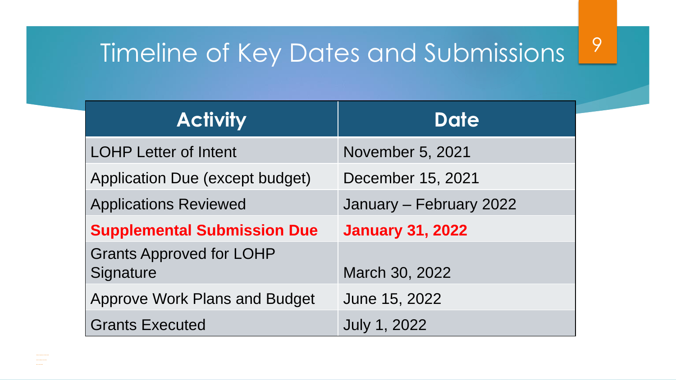# Timeline of Key Dates and Submissions<sup>9</sup>

| <b>Activity</b>                              | <b>Date</b>             |  |  |  |
|----------------------------------------------|-------------------------|--|--|--|
| <b>LOHP Letter of Intent</b>                 | <b>November 5, 2021</b> |  |  |  |
| <b>Application Due (except budget)</b>       | December 15, 2021       |  |  |  |
| <b>Applications Reviewed</b>                 | January - February 2022 |  |  |  |
| <b>Supplemental Submission Due</b>           | <b>January 31, 2022</b> |  |  |  |
| <b>Grants Approved for LOHP</b><br>Signature | March 30, 2022          |  |  |  |
| <b>Approve Work Plans and Budget</b>         | June 15, 2022           |  |  |  |
| <b>Grants Executed</b>                       | <b>July 1, 2022</b>     |  |  |  |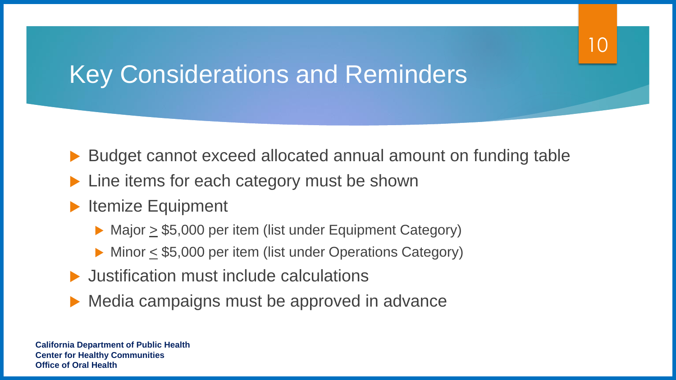# Key Considerations and Reminders

- Budget cannot exceed allocated annual amount on funding table
- Line items for each category must be shown
- Itemize Equipment
	- $\triangleright$  Major  $\geq$  \$5,000 per item (list under Equipment Category)
	- $\triangleright$  Minor  $\leq$  \$5,000 per item (list under Operations Category)
- Justification must include calculations
- Media campaigns must be approved in advance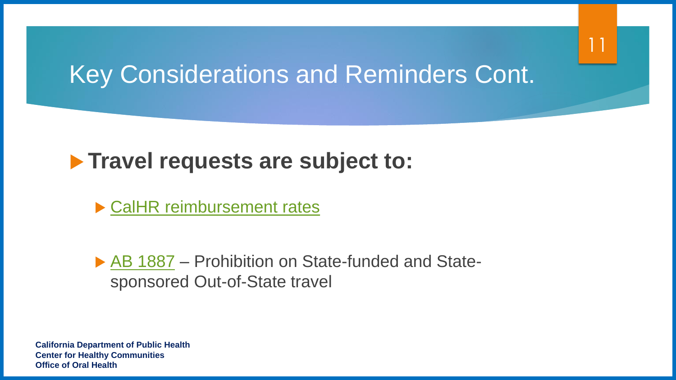### Key Considerations and Reminders Cont.

#### **Travel requests are subject to:**

▶ [CalHR reimbursement rates](https://www.calhr.ca.gov/employees/pages/travel-reimbursements.aspx)

▶ [AB 1887](https://oag.ca.gov/ab1887) – Prohibition on State-funded and Statesponsored Out-of-State travel

**California Department of Public Health Center for Healthy Communities Office of Oral Health**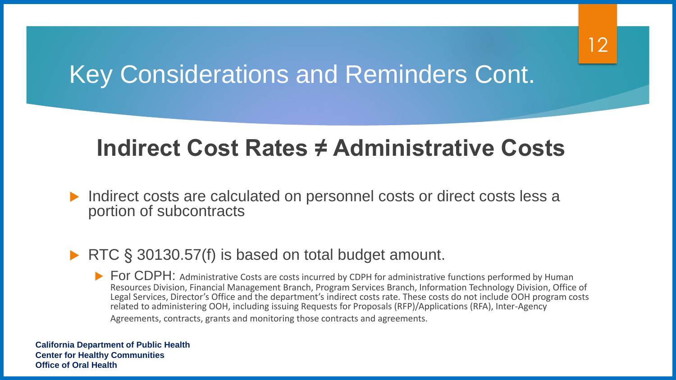# Key Considerations and Reminders Cont.

#### **Indirect Cost Rates ≠ Administrative Costs**

 Indirect costs are calculated on personnel costs or direct costs less a portion of subcontracts

#### ▶ RTC § 30130.57(f) is based on total budget amount.

For CDPH: Administrative Costs are costs incurred by CDPH for administrative functions performed by Human Resources Division, Financial Management Branch, Program Services Branch, Information Technology Division, Office of Legal Services, Director's Office and the department's indirect costs rate. These costs do not include OOH program costs related to administering OOH, including issuing Requests for Proposals (RFP)/Applications (RFA), Inter-Agency Agreements, contracts, grants and monitoring those contracts and agreements.

**California Department of Public Health Center for Healthy Communities Office of Oral Health**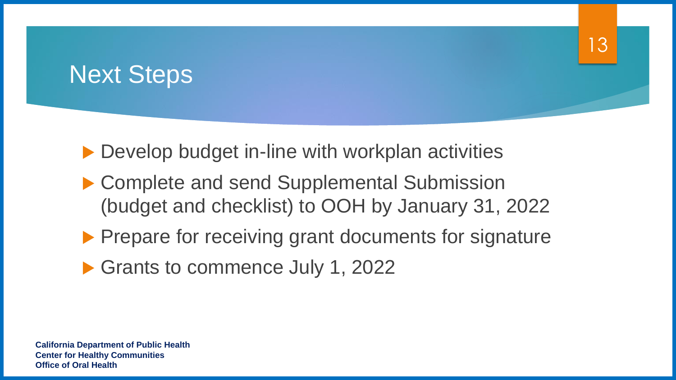## Next Steps

▶ Develop budget in-line with workplan activities

▶ Complete and send Supplemental Submission (budget and checklist) to OOH by January 31, 2022 13

- **Prepare for receiving grant documents for signature**
- Grants to commence July 1, 2022